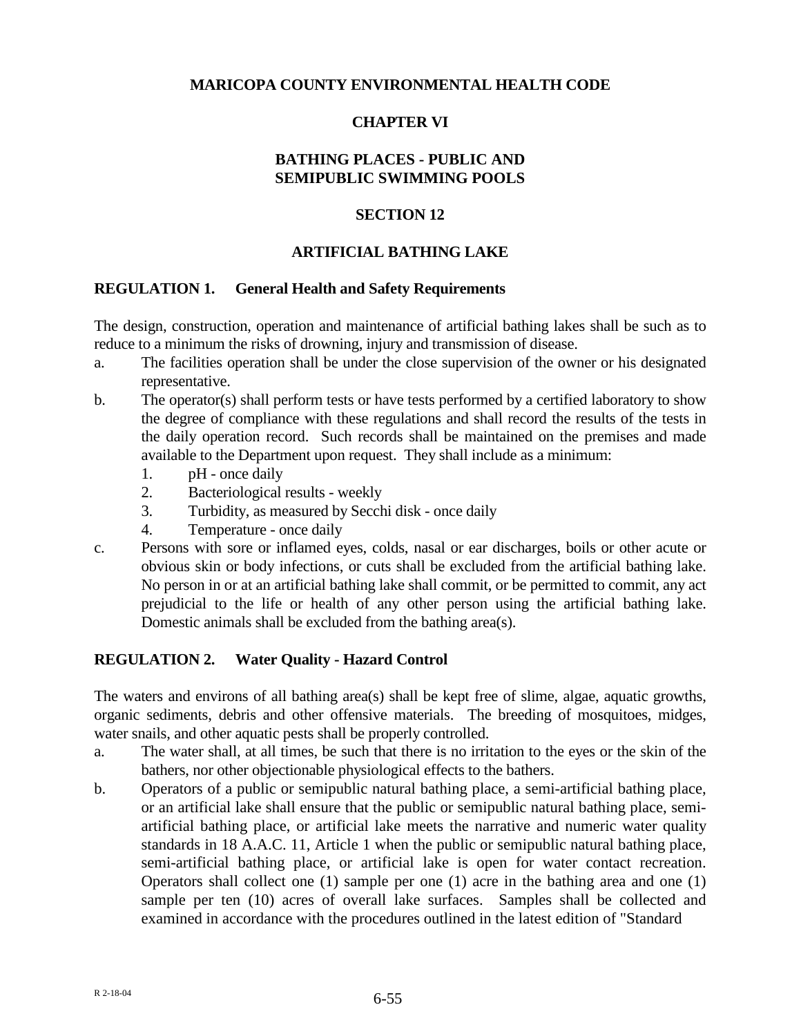### **MARICOPA COUNTY ENVIRONMENTAL HEALTH CODE**

## **CHAPTER VI**

## **BATHING PLACES - PUBLIC AND SEMIPUBLIC SWIMMING POOLS**

### **SECTION 12**

### **ARTIFICIAL BATHING LAKE**

#### **REGULATION 1. General Health and Safety Requirements**

The design, construction, operation and maintenance of artificial bathing lakes shall be such as to reduce to a minimum the risks of drowning, injury and transmission of disease.

- a. The facilities operation shall be under the close supervision of the owner or his designated representative.
- b. The operator(s) shall perform tests or have tests performed by a certified laboratory to show the degree of compliance with these regulations and shall record the results of the tests in the daily operation record. Such records shall be maintained on the premises and made available to the Department upon request. They shall include as a minimum:
	- 1. pH once daily
	- 2. Bacteriological results weekly
	- 3. Turbidity, as measured by Secchi disk once daily
	- 4. Temperature once daily
- c. Persons with sore or inflamed eyes, colds, nasal or ear discharges, boils or other acute or obvious skin or body infections, or cuts shall be excluded from the artificial bathing lake. No person in or at an artificial bathing lake shall commit, or be permitted to commit, any act prejudicial to the life or health of any other person using the artificial bathing lake. Domestic animals shall be excluded from the bathing area(s).

### **REGULATION 2. Water Quality - Hazard Control**

The waters and environs of all bathing area(s) shall be kept free of slime, algae, aquatic growths, organic sediments, debris and other offensive materials. The breeding of mosquitoes, midges, water snails, and other aquatic pests shall be properly controlled.

- a. The water shall, at all times, be such that there is no irritation to the eyes or the skin of the bathers, nor other objectionable physiological effects to the bathers.
- b. Operators of a public or semipublic natural bathing place, a semi-artificial bathing place, or an artificial lake shall ensure that the public or semipublic natural bathing place, semiartificial bathing place, or artificial lake meets the narrative and numeric water quality standards in 18 A.A.C. 11, Article 1 when the public or semipublic natural bathing place, semi-artificial bathing place, or artificial lake is open for water contact recreation. Operators shall collect one (1) sample per one (1) acre in the bathing area and one (1) sample per ten (10) acres of overall lake surfaces. Samples shall be collected and examined in accordance with the procedures outlined in the latest edition of "Standard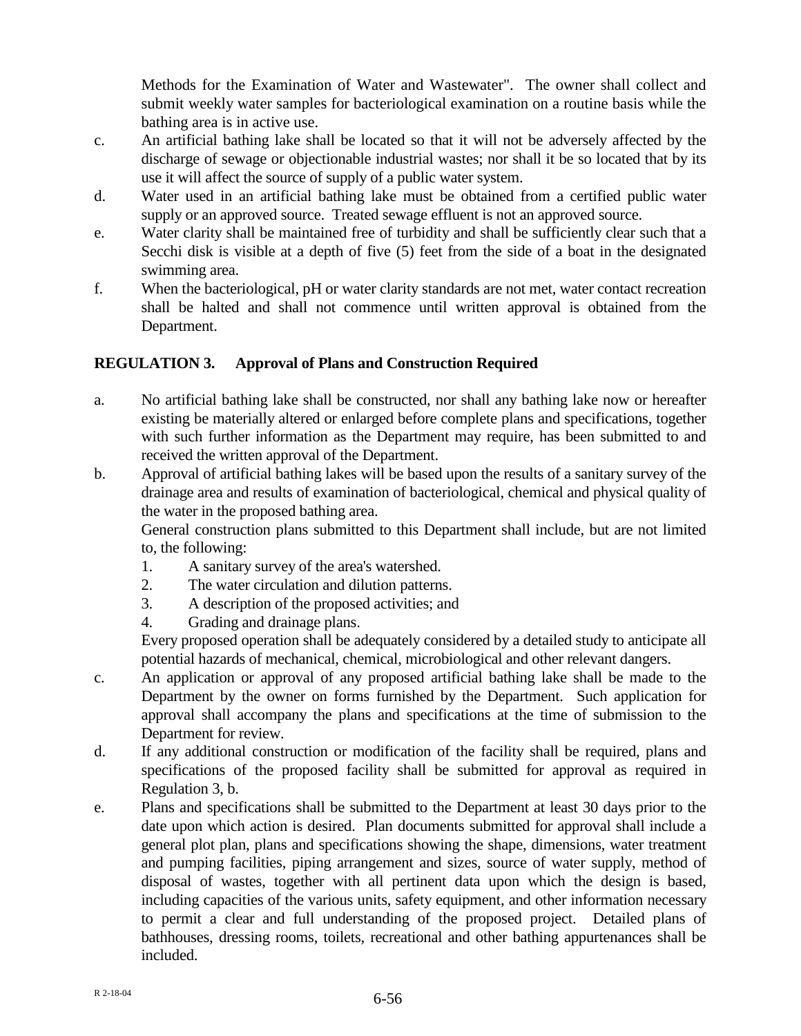Methods for the Examination of Water and Wastewater". The owner shall collect and submit weekly water samples for bacteriological examination on a routine basis while the bathing area is in active use.

- c. An artificial bathing lake shall be located so that it will not be adversely affected by the discharge of sewage or objectionable industrial wastes; nor shall it be so located that by its use it will affect the source of supply of a public water system.
- d. Water used in an artificial bathing lake must be obtained from a certified public water supply or an approved source. Treated sewage effluent is not an approved source.
- e. Water clarity shall be maintained free of turbidity and shall be sufficiently clear such that a Secchi disk is visible at a depth of five (5) feet from the side of a boat in the designated swimming area.
- f. When the bacteriological, pH or water clarity standards are not met, water contact recreation shall be halted and shall not commence until written approval is obtained from the Department.

# **REGULATION 3. Approval of Plans and Construction Required**

- a. No artificial bathing lake shall be constructed, nor shall any bathing lake now or hereafter existing be materially altered or enlarged before complete plans and specifications, together with such further information as the Department may require, has been submitted to and received the written approval of the Department.
- b. Approval of artificial bathing lakes will be based upon the results of a sanitary survey of the drainage area and results of examination of bacteriological, chemical and physical quality of the water in the proposed bathing area.

General construction plans submitted to this Department shall include, but are not limited to, the following:

- 1. A sanitary survey of the area's watershed.
- 2. The water circulation and dilution patterns.
- 3. A description of the proposed activities; and
- 4. Grading and drainage plans.

Every proposed operation shall be adequately considered by a detailed study to anticipate all potential hazards of mechanical, chemical, microbiological and other relevant dangers.

- c. An application or approval of any proposed artificial bathing lake shall be made to the Department by the owner on forms furnished by the Department. Such application for approval shall accompany the plans and specifications at the time of submission to the Department for review.
- d. If any additional construction or modification of the facility shall be required, plans and specifications of the proposed facility shall be submitted for approval as required in Regulation 3, b.
- e. Plans and specifications shall be submitted to the Department at least 30 days prior to the date upon which action is desired. Plan documents submitted for approval shall include a general plot plan, plans and specifications showing the shape, dimensions, water treatment and pumping facilities, piping arrangement and sizes, source of water supply, method of disposal of wastes, together with all pertinent data upon which the design is based, including capacities of the various units, safety equipment, and other information necessary to permit a clear and full understanding of the proposed project. Detailed plans of bathhouses, dressing rooms, toilets, recreational and other bathing appurtenances shall be included.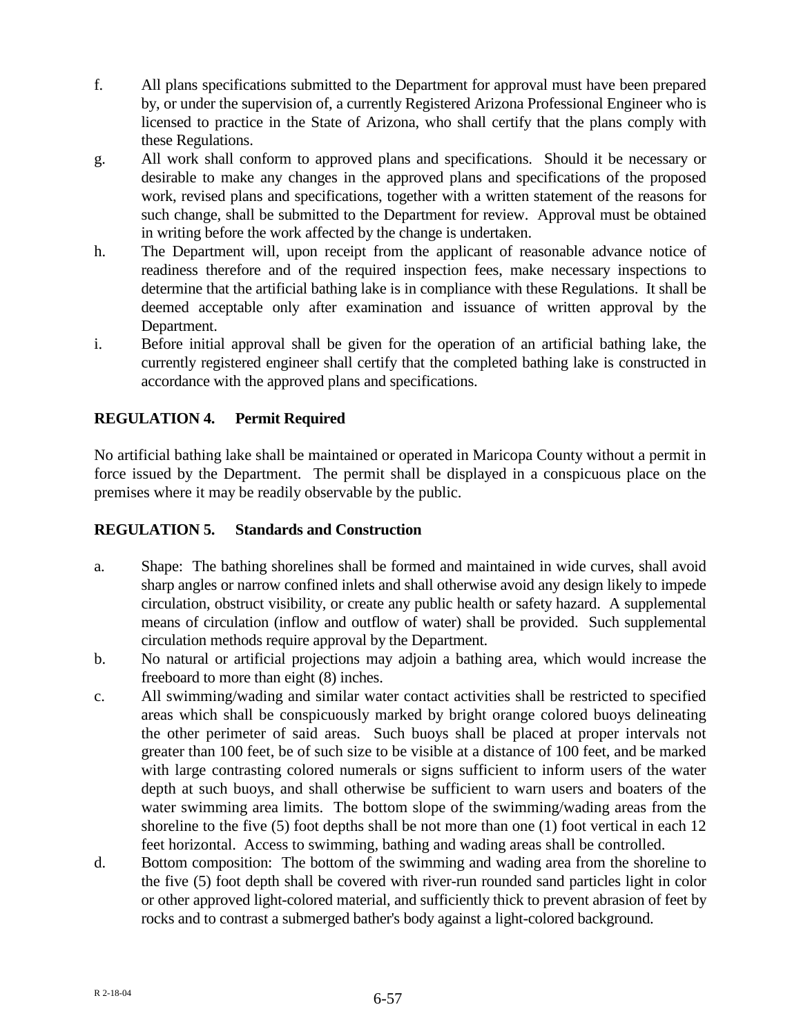- f. All plans specifications submitted to the Department for approval must have been prepared by, or under the supervision of, a currently Registered Arizona Professional Engineer who is licensed to practice in the State of Arizona, who shall certify that the plans comply with these Regulations.
- g. All work shall conform to approved plans and specifications. Should it be necessary or desirable to make any changes in the approved plans and specifications of the proposed work, revised plans and specifications, together with a written statement of the reasons for such change, shall be submitted to the Department for review. Approval must be obtained in writing before the work affected by the change is undertaken.
- h. The Department will, upon receipt from the applicant of reasonable advance notice of readiness therefore and of the required inspection fees, make necessary inspections to determine that the artificial bathing lake is in compliance with these Regulations. It shall be deemed acceptable only after examination and issuance of written approval by the Department.
- i. Before initial approval shall be given for the operation of an artificial bathing lake, the currently registered engineer shall certify that the completed bathing lake is constructed in accordance with the approved plans and specifications.

# **REGULATION 4. Permit Required**

No artificial bathing lake shall be maintained or operated in Maricopa County without a permit in force issued by the Department. The permit shall be displayed in a conspicuous place on the premises where it may be readily observable by the public.

# **REGULATION 5. Standards and Construction**

- a. Shape: The bathing shorelines shall be formed and maintained in wide curves, shall avoid sharp angles or narrow confined inlets and shall otherwise avoid any design likely to impede circulation, obstruct visibility, or create any public health or safety hazard. A supplemental means of circulation (inflow and outflow of water) shall be provided. Such supplemental circulation methods require approval by the Department.
- b. No natural or artificial projections may adjoin a bathing area, which would increase the freeboard to more than eight (8) inches.
- c. All swimming/wading and similar water contact activities shall be restricted to specified areas which shall be conspicuously marked by bright orange colored buoys delineating the other perimeter of said areas. Such buoys shall be placed at proper intervals not greater than 100 feet, be of such size to be visible at a distance of 100 feet, and be marked with large contrasting colored numerals or signs sufficient to inform users of the water depth at such buoys, and shall otherwise be sufficient to warn users and boaters of the water swimming area limits. The bottom slope of the swimming/wading areas from the shoreline to the five (5) foot depths shall be not more than one (1) foot vertical in each 12 feet horizontal. Access to swimming, bathing and wading areas shall be controlled.
- d. Bottom composition: The bottom of the swimming and wading area from the shoreline to the five (5) foot depth shall be covered with river-run rounded sand particles light in color or other approved light-colored material, and sufficiently thick to prevent abrasion of feet by rocks and to contrast a submerged bather's body against a light-colored background.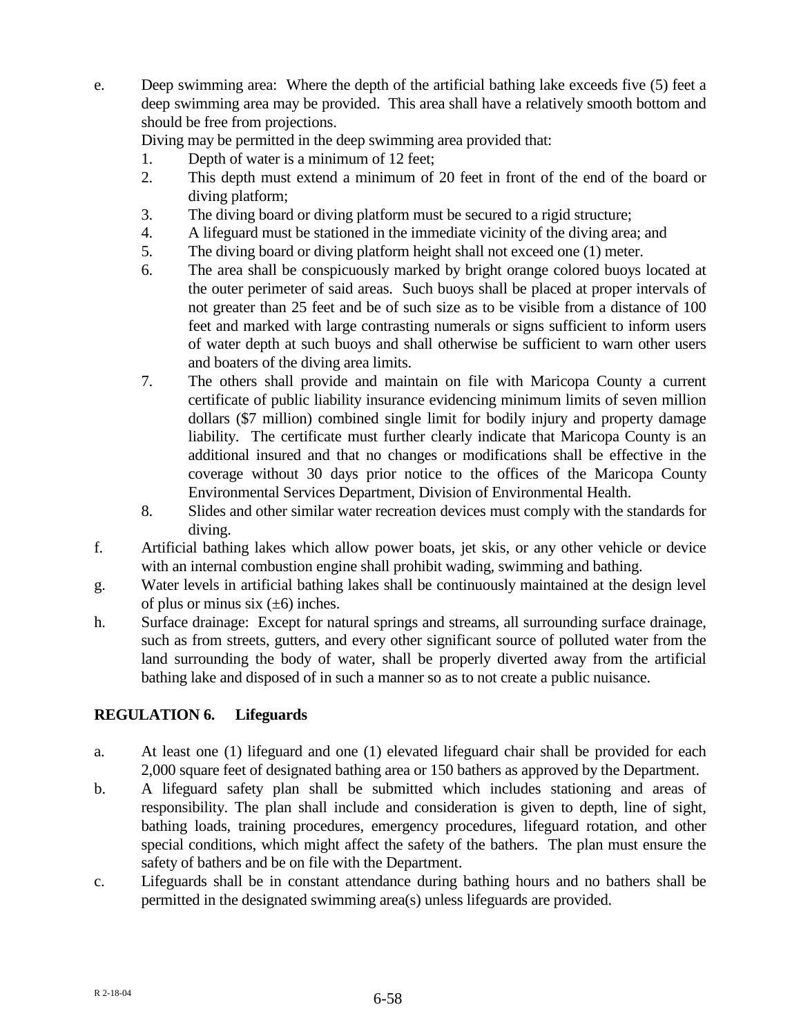e. Deep swimming area: Where the depth of the artificial bathing lake exceeds five (5) feet a deep swimming area may be provided. This area shall have a relatively smooth bottom and should be free from projections.

Diving may be permitted in the deep swimming area provided that:

- 1. Depth of water is a minimum of 12 feet;
- 2. This depth must extend a minimum of 20 feet in front of the end of the board or diving platform;
- 3. The diving board or diving platform must be secured to a rigid structure;
- 4. A lifeguard must be stationed in the immediate vicinity of the diving area; and
- 5. The diving board or diving platform height shall not exceed one (1) meter.
- 6. The area shall be conspicuously marked by bright orange colored buoys located at the outer perimeter of said areas. Such buoys shall be placed at proper intervals of not greater than 25 feet and be of such size as to be visible from a distance of 100 feet and marked with large contrasting numerals or signs sufficient to inform users of water depth at such buoys and shall otherwise be sufficient to warn other users and boaters of the diving area limits.
- 7. The others shall provide and maintain on file with Maricopa County a current certificate of public liability insurance evidencing minimum limits of seven million dollars (\$7 million) combined single limit for bodily injury and property damage liability. The certificate must further clearly indicate that Maricopa County is an additional insured and that no changes or modifications shall be effective in the coverage without 30 days prior notice to the offices of the Maricopa County Environmental Services Department, Division of Environmental Health.
- 8. Slides and other similar water recreation devices must comply with the standards for diving.
- f. Artificial bathing lakes which allow power boats, jet skis, or any other vehicle or device with an internal combustion engine shall prohibit wading, swimming and bathing.
- g. Water levels in artificial bathing lakes shall be continuously maintained at the design level of plus or minus six  $(\pm 6)$  inches.
- h. Surface drainage: Except for natural springs and streams, all surrounding surface drainage, such as from streets, gutters, and every other significant source of polluted water from the land surrounding the body of water, shall be properly diverted away from the artificial bathing lake and disposed of in such a manner so as to not create a public nuisance.

# **REGULATION 6. Lifeguards**

- a. At least one (1) lifeguard and one (1) elevated lifeguard chair shall be provided for each 2,000 square feet of designated bathing area or 150 bathers as approved by the Department.
- b. A lifeguard safety plan shall be submitted which includes stationing and areas of responsibility. The plan shall include and consideration is given to depth, line of sight, bathing loads, training procedures, emergency procedures, lifeguard rotation, and other special conditions, which might affect the safety of the bathers. The plan must ensure the safety of bathers and be on file with the Department.
- c. Lifeguards shall be in constant attendance during bathing hours and no bathers shall be permitted in the designated swimming area(s) unless lifeguards are provided.